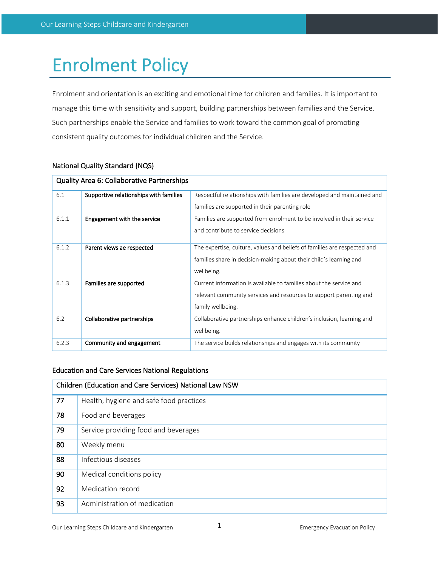# Enrolment Policy

Enrolment and orientation is an exciting and emotional time for children and families. It is important to manage this time with sensitivity and support, building partnerships between families and the Service. Such partnerships enable the Service and families to work toward the common goal of promoting consistent quality outcomes for individual children and the Service.

| <b>Quality Area 6: Collaborative Partnerships</b> |                                                                                                      |                                                                          |  |  |
|---------------------------------------------------|------------------------------------------------------------------------------------------------------|--------------------------------------------------------------------------|--|--|
| 6.1                                               | Supportive relationships with families                                                               | Respectful relationships with families are developed and maintained and  |  |  |
|                                                   |                                                                                                      | families are supported in their parenting role                           |  |  |
| 6.1.1                                             | Engagement with the service<br>Families are supported from enrolment to be involved in their service |                                                                          |  |  |
|                                                   |                                                                                                      | and contribute to service decisions                                      |  |  |
| 6.1.2                                             | Parent views ae respected                                                                            | The expertise, culture, values and beliefs of families are respected and |  |  |
|                                                   |                                                                                                      | families share in decision-making about their child's learning and       |  |  |
|                                                   |                                                                                                      | wellbeing.                                                               |  |  |
| 6.1.3                                             | Current information is available to families about the service and<br>Families are supported         |                                                                          |  |  |
|                                                   |                                                                                                      | relevant community services and resources to support parenting and       |  |  |
|                                                   |                                                                                                      | family wellbeing.                                                        |  |  |
| 6.2                                               | Collaborative partnerships                                                                           | Collaborative partnerships enhance children's inclusion, learning and    |  |  |
|                                                   |                                                                                                      | wellbeing.                                                               |  |  |
| 6.2.3                                             | Community and engagement                                                                             | The service builds relationships and engages with its community          |  |  |

# National Quality Standard (NQS)

# Education and Care Services National Regulations

| Children (Education and Care Services) National Law NSW |                                         |  |  |
|---------------------------------------------------------|-----------------------------------------|--|--|
| 77                                                      | Health, hygiene and safe food practices |  |  |
| 78                                                      | Food and beverages                      |  |  |
| 79                                                      | Service providing food and beverages    |  |  |
| 80                                                      | Weekly menu                             |  |  |
| 88                                                      | Infectious diseases                     |  |  |
| 90                                                      | Medical conditions policy               |  |  |
| 92                                                      | Medication record                       |  |  |
| 93                                                      | Administration of medication            |  |  |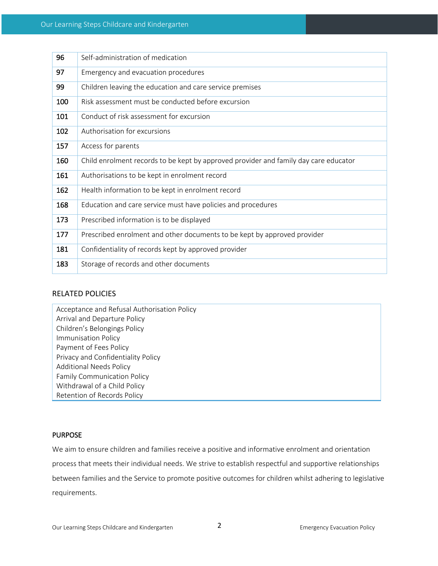| 96  | Self-administration of medication                                                    |
|-----|--------------------------------------------------------------------------------------|
| 97  | Emergency and evacuation procedures                                                  |
| 99  | Children leaving the education and care service premises                             |
| 100 | Risk assessment must be conducted before excursion                                   |
| 101 | Conduct of risk assessment for excursion                                             |
| 102 | Authorisation for excursions                                                         |
| 157 | Access for parents                                                                   |
| 160 | Child enrolment records to be kept by approved provider and family day care educator |
| 161 | Authorisations to be kept in enrolment record                                        |
| 162 | Health information to be kept in enrolment record                                    |
| 168 | Education and care service must have policies and procedures                         |
| 173 | Prescribed information is to be displayed                                            |
| 177 | Prescribed enrolment and other documents to be kept by approved provider             |
| 181 | Confidentiality of records kept by approved provider                                 |
| 183 | Storage of records and other documents                                               |

## RELATED POLICIES

| Acceptance and Refusal Authorisation Policy |  |  |  |  |
|---------------------------------------------|--|--|--|--|
| Arrival and Departure Policy                |  |  |  |  |
| Children's Belongings Policy                |  |  |  |  |
| <b>Immunisation Policy</b>                  |  |  |  |  |
| Payment of Fees Policy                      |  |  |  |  |
| Privacy and Confidentiality Policy          |  |  |  |  |
| <b>Additional Needs Policy</b>              |  |  |  |  |
| <b>Family Communication Policy</b>          |  |  |  |  |
| Withdrawal of a Child Policy                |  |  |  |  |
| Retention of Records Policy                 |  |  |  |  |

## PURPOSE

We aim to ensure children and families receive a positive and informative enrolment and orientation process that meets their individual needs. We strive to establish respectful and supportive relationships between families and the Service to promote positive outcomes for children whilst adhering to legislative requirements.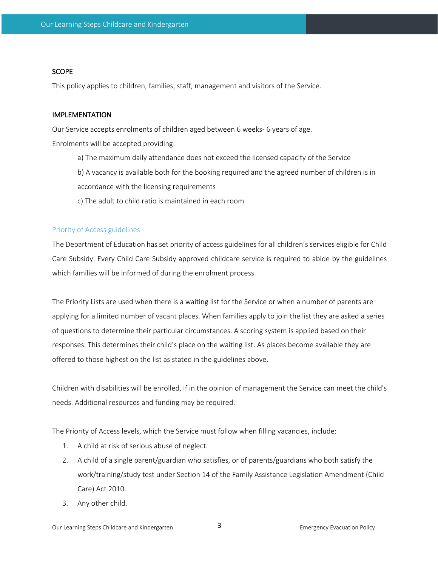#### **SCOPE**

This policy applies to children, families, staff, management and visitors of the Service.

#### IMPLEMENTATION

Our Service accepts enrolments of children aged between 6 weeks- 6 years of age.

Enrolments will be accepted providing:

- a) The maximum daily attendance does not exceed the licensed capacity of the Service
- b) A vacancy is available both for the booking required and the agreed number of children is in accordance with the licensing requirements
- c) The adult to child ratio is maintained in each room

#### Priority of Access guidelines

The Department of Education hasset priority of access guidelines for all children's services eligible for Child Care Subsidy. Every Child Care Subsidy approved childcare service is required to abide by the guidelines which families will be informed of during the enrolment process.

The Priority Lists are used when there is a waiting list for the Service or when a number of parents are applying for a limited number of vacant places. When families apply to join the list they are asked a series of questions to determine their particular circumstances. A scoring system is applied based on their responses. This determines their child's place on the waiting list. As places become available they are offered to those highest on the list as stated in the guidelines above.

Children with disabilities will be enrolled, if in the opinion of management the Service can meet the child's needs. Additional resources and funding may be required.

The Priority of Access levels, which the Service must follow when filling vacancies, include:

- 1. A child at risk of serious abuse of neglect.
- 2. A child of a single parent/guardian who satisfies, or of parents/guardians who both satisfy the work/training/study test under Section 14 of the Family Assistance Legislation Amendment (Child Care) Act 2010.
- 3. Any other child.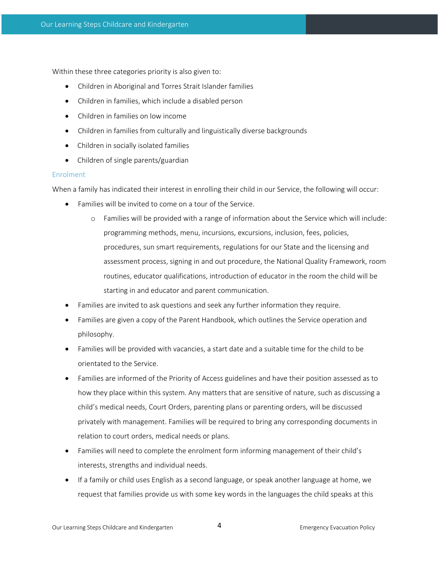Within these three categories priority is also given to:

- Children in Aboriginal and Torres Strait Islander families
- Children in families, which include a disabled person
- Children in families on low income
- Children in families from culturally and linguistically diverse backgrounds
- Children in socially isolated families
- Children of single parents/guardian

### Enrolment

When a family has indicated their interest in enrolling their child in our Service, the following will occur:

- Families will be invited to come on a tour of the Service.
	- o Families will be provided with a range of information about the Service which will include: programming methods, menu, incursions, excursions, inclusion, fees, policies, procedures, sun smart requirements, regulations for our State and the licensing and assessment process, signing in and out procedure, the National Quality Framework, room routines, educator qualifications, introduction of educator in the room the child will be starting in and educator and parent communication.
- Families are invited to ask questions and seek any further information they require.
- Families are given a copy of the Parent Handbook, which outlines the Service operation and philosophy.
- Families will be provided with vacancies, a start date and a suitable time for the child to be orientated to the Service.
- Families are informed of the Priority of Access guidelines and have their position assessed as to how they place within this system. Any matters that are sensitive of nature, such as discussing a child's medical needs, Court Orders, parenting plans or parenting orders, will be discussed privately with management. Families will be required to bring any corresponding documents in relation to court orders, medical needs or plans.
- Families will need to complete the enrolment form informing management of their child's interests, strengths and individual needs.
- If a family or child uses English as a second language, or speak another language at home, we request that families provide us with some key words in the languages the child speaks at this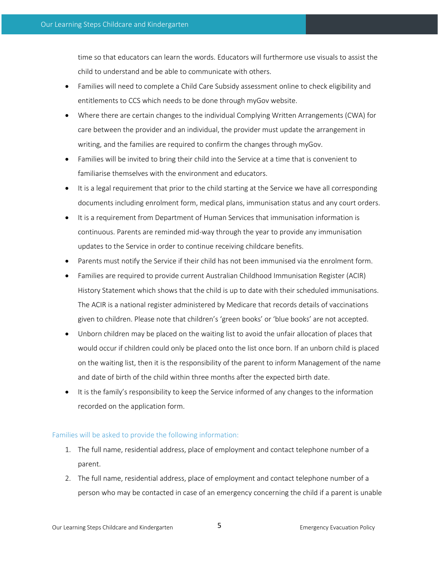time so that educators can learn the words. Educators will furthermore use visuals to assist the child to understand and be able to communicate with others.

- Families will need to complete a Child Care Subsidy assessment online to check eligibility and entitlements to CCS which needs to be done through myGov website.
- Where there are certain changes to the individual Complying Written Arrangements (CWA) for care between the provider and an individual, the provider must update the arrangement in writing, and the families are required to confirm the changes through myGov.
- Families will be invited to bring their child into the Service at a time that is convenient to familiarise themselves with the environment and educators.
- It is a legal requirement that prior to the child starting at the Service we have all corresponding documents including enrolment form, medical plans, immunisation status and any court orders.
- It is a requirement from Department of Human Services that immunisation information is continuous. Parents are reminded mid-way through the year to provide any immunisation updates to the Service in order to continue receiving childcare benefits.
- Parents must notify the Service if their child has not been immunised via the enrolment form.
- Families are required to provide current Australian Childhood Immunisation Register (ACIR) History Statement which shows that the child is up to date with their scheduled immunisations. The ACIR is a national register administered by Medicare that records details of vaccinations given to children. Please note that children's 'green books' or 'blue books' are not accepted.
- Unborn children may be placed on the waiting list to avoid the unfair allocation of places that would occur if children could only be placed onto the list once born. If an unborn child is placed on the waiting list, then it is the responsibility of the parent to inform Management of the name and date of birth of the child within three months after the expected birth date.
- It is the family's responsibility to keep the Service informed of any changes to the information recorded on the application form.

### Families will be asked to provide the following information:

- 1. The full name, residential address, place of employment and contact telephone number of a parent.
- 2. The full name, residential address, place of employment and contact telephone number of a person who may be contacted in case of an emergency concerning the child if a parent is unable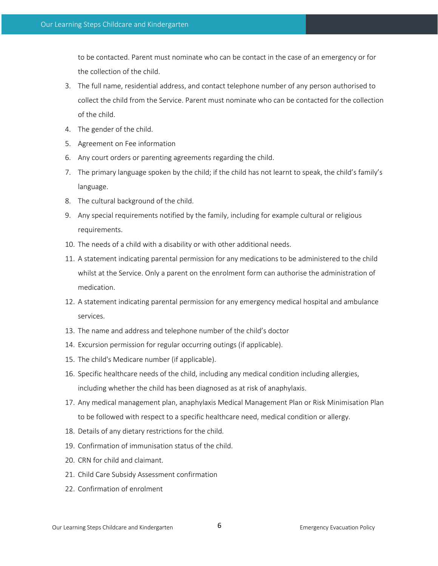to be contacted. Parent must nominate who can be contact in the case of an emergency or for the collection of the child.

- 3. The full name, residential address, and contact telephone number of any person authorised to collect the child from the Service. Parent must nominate who can be contacted for the collection of the child.
- 4. The gender of the child.
- 5. Agreement on Fee information
- 6. Any court orders or parenting agreements regarding the child.
- 7. The primary language spoken by the child; if the child has not learnt to speak, the child's family's language.
- 8. The cultural background of the child.
- 9. Any special requirements notified by the family, including for example cultural or religious requirements.
- 10. The needs of a child with a disability or with other additional needs.
- 11. A statement indicating parental permission for any medications to be administered to the child whilst at the Service. Only a parent on the enrolment form can authorise the administration of medication.
- 12. A statement indicating parental permission for any emergency medical hospital and ambulance services.
- 13. The name and address and telephone number of the child's doctor
- 14. Excursion permission for regular occurring outings (if applicable).
- 15. The child's Medicare number (if applicable).
- 16. Specific healthcare needs of the child, including any medical condition including allergies, including whether the child has been diagnosed as at risk of anaphylaxis.
- 17. Any medical management plan, anaphylaxis Medical Management Plan or Risk Minimisation Plan to be followed with respect to a specific healthcare need, medical condition or allergy.
- 18. Details of any dietary restrictions for the child.
- 19. Confirmation of immunisation status of the child.
- 20. CRN for child and claimant.
- 21. Child Care Subsidy Assessment confirmation
- 22. Confirmation of enrolment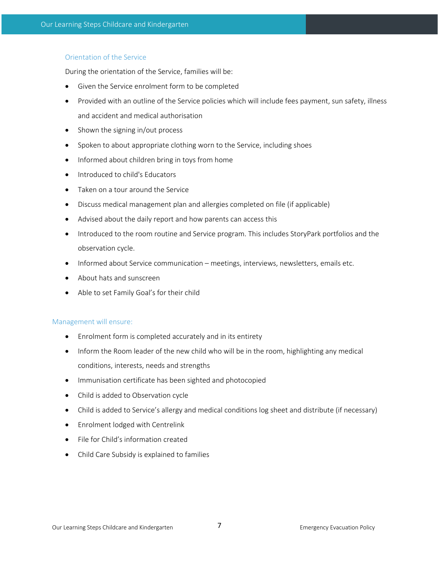# Orientation of the Service

During the orientation of the Service, families will be:

- Given the Service enrolment form to be completed
- Provided with an outline of the Service policies which will include fees payment, sun safety, illness and accident and medical authorisation
- Shown the signing in/out process
- Spoken to about appropriate clothing worn to the Service, including shoes
- Informed about children bring in toys from home
- Introduced to child's Educators
- Taken on a tour around the Service
- Discuss medical management plan and allergies completed on file (if applicable)
- Advised about the daily report and how parents can access this
- Introduced to the room routine and Service program. This includes StoryPark portfolios and the observation cycle.
- Informed about Service communication meetings, interviews, newsletters, emails etc.
- About hats and sunscreen
- Able to set Family Goal's for their child

### Management will ensure:

- Enrolment form is completed accurately and in its entirety
- Inform the Room leader of the new child who will be in the room, highlighting any medical conditions, interests, needs and strengths
- Immunisation certificate has been sighted and photocopied
- Child is added to Observation cycle
- Child is added to Service's allergy and medical conditions log sheet and distribute (if necessary)
- Enrolment lodged with Centrelink
- File for Child's information created
- Child Care Subsidy is explained to families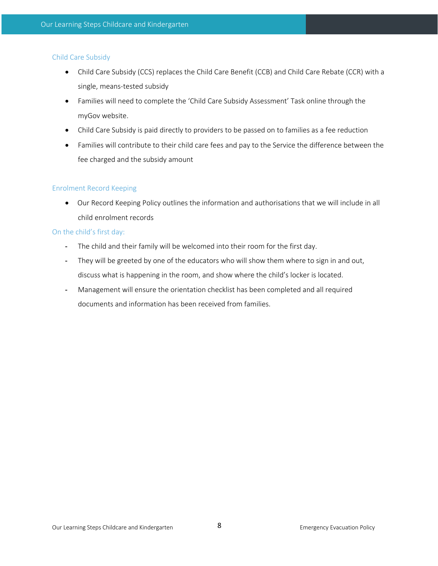# Child Care Subsidy

- Child Care Subsidy (CCS) replaces the Child Care Benefit (CCB) and Child Care Rebate (CCR) with a single, means-tested subsidy
- Families will need to complete the 'Child Care Subsidy Assessment' Task online through the myGov website.
- Child Care Subsidy is paid directly to providers to be passed on to families as a fee reduction
- Families will contribute to their child care fees and pay to the Service the difference between the fee charged and the subsidy amount

# Enrolment Record Keeping

• Our Record Keeping Policy outlines the information and authorisations that we will include in all child enrolment records

# On the child's first day:

- The child and their family will be welcomed into their room for the first day.
- They will be greeted by one of the educators who will show them where to sign in and out, discuss what is happening in the room, and show where the child's locker is located.
- Management will ensure the orientation checklist has been completed and all required documents and information has been received from families.